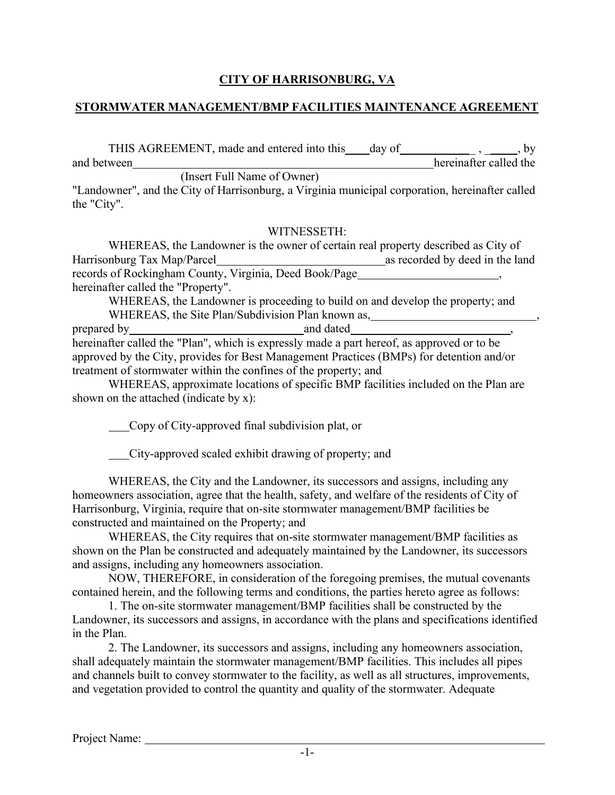## **CITY OF HARRISONBURG, VA**

#### **STORMWATER MANAGEMENT/BMP FACILITIES MAINTENANCE AGREEMENT**

THIS AGREEMENT, made and entered into this day of THIS AGREEMENT, made and entered into this day of  $\frac{1}{\sqrt{1-\frac{1}{n}}}, \frac{1}{\sqrt{1-\frac{1}{n}}}$ , by and between

(Insert Full Name of Owner)

"Landowner", and the City of Harrisonburg, a Virginia municipal corporation, hereinafter called the "City".

#### WITNESSETH:

WHEREAS, the Landowner is the owner of certain real property described as City of Harrisonburg Tax Map/Parcel as recorded by deed in the land records of Rockingham County, Virginia, Deed Book/Page hereinafter called the "Property".

WHEREAS, the Landowner is proceeding to build on and develop the property; and WHEREAS, the Site Plan/Subdivision Plan known as,

prepared by and dated and dated  $\alpha$ hereinafter called the "Plan", which is expressly made a part hereof, as approved or to be approved by the City, provides for Best Management Practices (BMPs) for detention and/or treatment of stormwater within the confines of the property; and

WHEREAS, approximate locations of specific BMP facilities included on the Plan are shown on the attached (indicate by x):

Copy of City-approved final subdivision plat, or

City-approved scaled exhibit drawing of property; and

WHEREAS, the City and the Landowner, its successors and assigns, including any homeowners association, agree that the health, safety, and welfare of the residents of City of Harrisonburg, Virginia, require that on-site stormwater management/BMP facilities be constructed and maintained on the Property; and

WHEREAS, the City requires that on-site stormwater management/BMP facilities as shown on the Plan be constructed and adequately maintained by the Landowner, its successors and assigns, including any homeowners association.

NOW, THEREFORE, in consideration of the foregoing premises, the mutual covenants contained herein, and the following terms and conditions, the parties hereto agree as follows:

1. The on-site stormwater management/BMP facilities shall be constructed by the Landowner, its successors and assigns, in accordance with the plans and specifications identified in the Plan.

2. The Landowner, its successors and assigns, including any homeowners association, shall adequately maintain the stormwater management/BMP facilities. This includes all pipes and channels built to convey stormwater to the facility, as well as all structures, improvements, and vegetation provided to control the quantity and quality of the stormwater. Adequate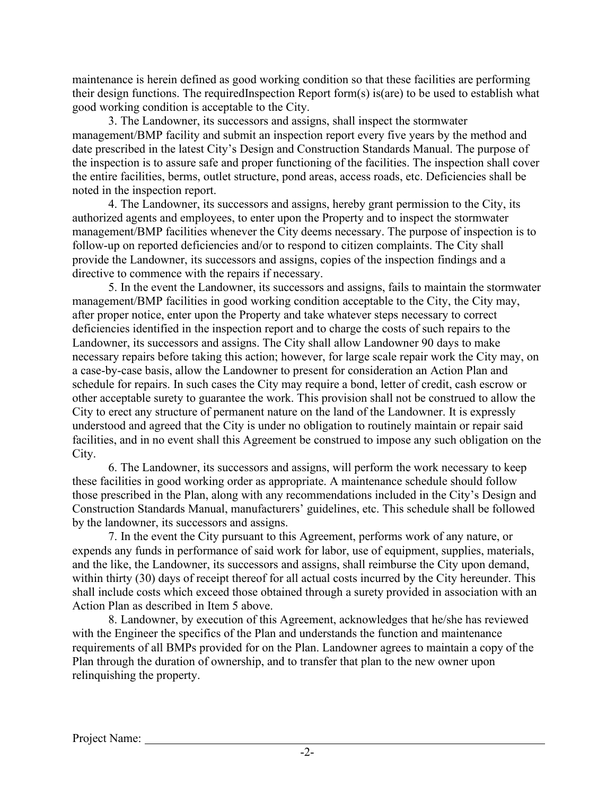maintenance is herein defined as good working condition so that these facilities are performing their design functions. The requiredInspection Report form(s) is(are) to be used to establish what good working condition is acceptable to the City.

3. The Landowner, its successors and assigns, shall inspect the stormwater management/BMP facility and submit an inspection report every five years by the method and date prescribed in the latest City's Design and Construction Standards Manual. The purpose of the inspection is to assure safe and proper functioning of the facilities. The inspection shall cover the entire facilities, berms, outlet structure, pond areas, access roads, etc. Deficiencies shall be noted in the inspection report.

4. The Landowner, its successors and assigns, hereby grant permission to the City, its authorized agents and employees, to enter upon the Property and to inspect the stormwater management/BMP facilities whenever the City deems necessary. The purpose of inspection is to follow-up on reported deficiencies and/or to respond to citizen complaints. The City shall provide the Landowner, its successors and assigns, copies of the inspection findings and a directive to commence with the repairs if necessary.

5. In the event the Landowner, its successors and assigns, fails to maintain the stormwater management/BMP facilities in good working condition acceptable to the City, the City may, after proper notice, enter upon the Property and take whatever steps necessary to correct deficiencies identified in the inspection report and to charge the costs of such repairs to the Landowner, its successors and assigns. The City shall allow Landowner 90 days to make necessary repairs before taking this action; however, for large scale repair work the City may, on a case-by-case basis, allow the Landowner to present for consideration an Action Plan and schedule for repairs. In such cases the City may require a bond, letter of credit, cash escrow or other acceptable surety to guarantee the work. This provision shall not be construed to allow the City to erect any structure of permanent nature on the land of the Landowner. It is expressly understood and agreed that the City is under no obligation to routinely maintain or repair said facilities, and in no event shall this Agreement be construed to impose any such obligation on the City.

6. The Landowner, its successors and assigns, will perform the work necessary to keep these facilities in good working order as appropriate. A maintenance schedule should follow those prescribed in the Plan, along with any recommendations included in the City's Design and Construction Standards Manual, manufacturers' guidelines, etc. This schedule shall be followed by the landowner, its successors and assigns.

7. In the event the City pursuant to this Agreement, performs work of any nature, or expends any funds in performance of said work for labor, use of equipment, supplies, materials, and the like, the Landowner, its successors and assigns, shall reimburse the City upon demand, within thirty (30) days of receipt thereof for all actual costs incurred by the City hereunder. This shall include costs which exceed those obtained through a surety provided in association with an Action Plan as described in Item 5 above.

8. Landowner, by execution of this Agreement, acknowledges that he/she has reviewed with the Engineer the specifics of the Plan and understands the function and maintenance requirements of all BMPs provided for on the Plan. Landowner agrees to maintain a copy of the Plan through the duration of ownership, and to transfer that plan to the new owner upon relinquishing the property.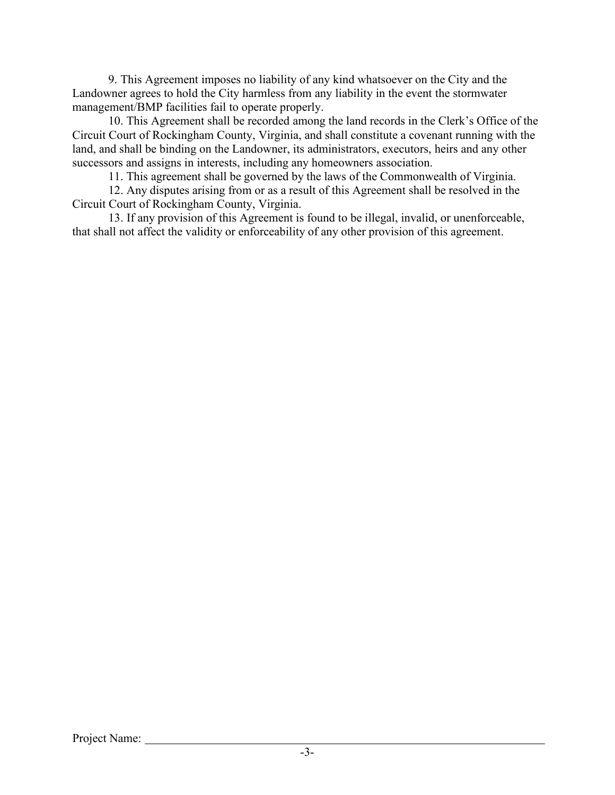9. This Agreement imposes no liability of any kind whatsoever on the City and the Landowner agrees to hold the City harmless from any liability in the event the stormwater management/BMP facilities fail to operate properly.

10. This Agreement shall be recorded among the land records in the Clerk's Office of the Circuit Court of Rockingham County, Virginia, and shall constitute a covenant running with the land, and shall be binding on the Landowner, its administrators, executors, heirs and any other successors and assigns in interests, including any homeowners association.

11. This agreement shall be governed by the laws of the Commonwealth of Virginia.

12. Any disputes arising from or as a result of this Agreement shall be resolved in the Circuit Court of Rockingham County, Virginia.

13. If any provision of this Agreement is found to be illegal, invalid, or unenforceable, that shall not affect the validity or enforceability of any other provision of this agreement.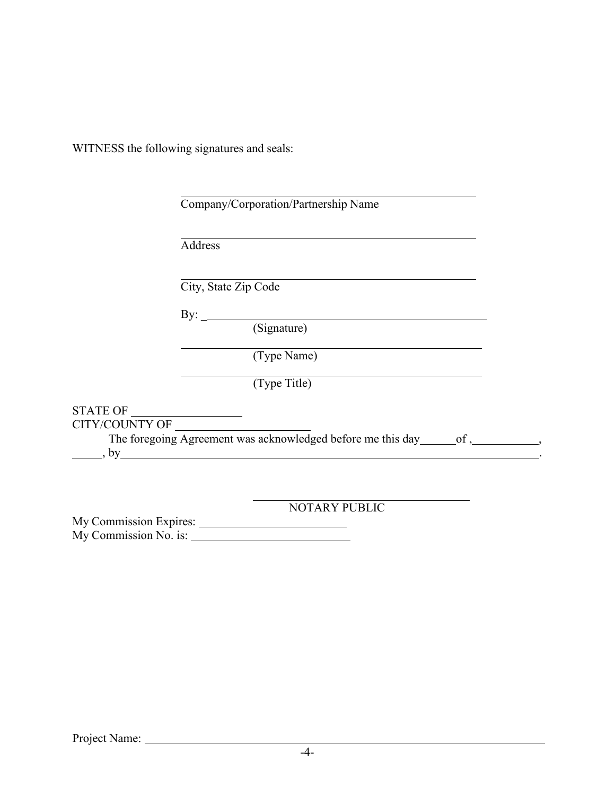WITNESS the following signatures and seals:

|                       | Address                                                                      |
|-----------------------|------------------------------------------------------------------------------|
|                       | City, State Zip Code                                                         |
|                       | By: $\qquad \qquad$                                                          |
|                       | (Signature)                                                                  |
|                       | (Type Name)                                                                  |
|                       | (Type Title)                                                                 |
|                       |                                                                              |
| <b>CITY/COUNTY OF</b> | The foregoing Agreement was acknowledged before me this day of, organization |

NOTARY PUBLIC

My Commission Expires: My Commission No. is: